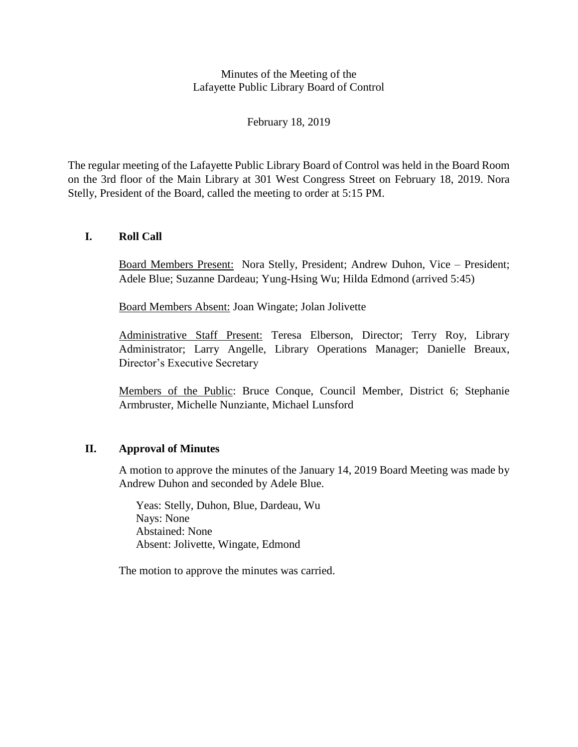## Minutes of the Meeting of the Lafayette Public Library Board of Control

February 18, 2019

The regular meeting of the Lafayette Public Library Board of Control was held in the Board Room on the 3rd floor of the Main Library at 301 West Congress Street on February 18, 2019. Nora Stelly, President of the Board, called the meeting to order at 5:15 PM.

# **I. Roll Call**

Board Members Present: Nora Stelly, President; Andrew Duhon, Vice – President; Adele Blue; Suzanne Dardeau; Yung-Hsing Wu; Hilda Edmond (arrived 5:45)

Board Members Absent: Joan Wingate; Jolan Jolivette

Administrative Staff Present: Teresa Elberson, Director; Terry Roy, Library Administrator; Larry Angelle, Library Operations Manager; Danielle Breaux, Director's Executive Secretary

Members of the Public: Bruce Conque, Council Member, District 6; Stephanie Armbruster, Michelle Nunziante, Michael Lunsford

# **II. Approval of Minutes**

A motion to approve the minutes of the January 14, 2019 Board Meeting was made by Andrew Duhon and seconded by Adele Blue.

Yeas: Stelly, Duhon, Blue, Dardeau, Wu Nays: None Abstained: None Absent: Jolivette, Wingate, Edmond

The motion to approve the minutes was carried.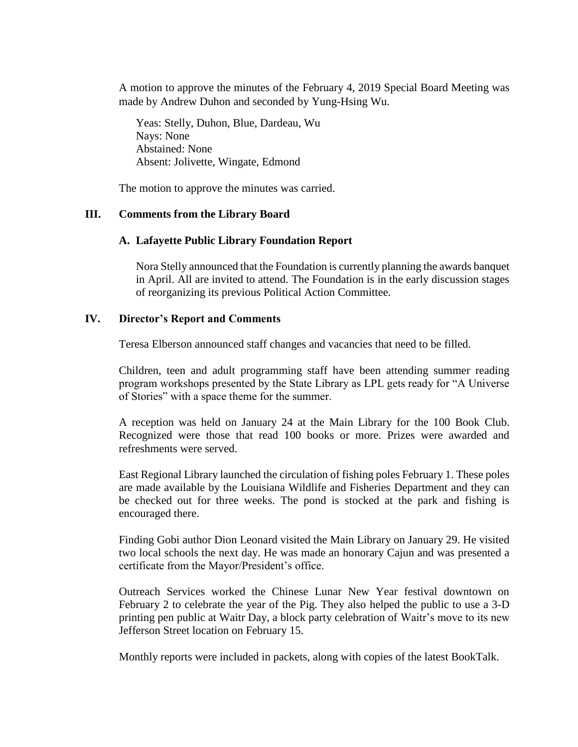A motion to approve the minutes of the February 4, 2019 Special Board Meeting was made by Andrew Duhon and seconded by Yung-Hsing Wu.

Yeas: Stelly, Duhon, Blue, Dardeau, Wu Nays: None Abstained: None Absent: Jolivette, Wingate, Edmond

The motion to approve the minutes was carried.

### **III. Comments from the Library Board**

### **A. Lafayette Public Library Foundation Report**

Nora Stelly announced that the Foundation is currently planning the awards banquet in April. All are invited to attend. The Foundation is in the early discussion stages of reorganizing its previous Political Action Committee.

### **IV. Director's Report and Comments**

Teresa Elberson announced staff changes and vacancies that need to be filled.

Children, teen and adult programming staff have been attending summer reading program workshops presented by the State Library as LPL gets ready for "A Universe of Stories" with a space theme for the summer.

A reception was held on January 24 at the Main Library for the 100 Book Club. Recognized were those that read 100 books or more. Prizes were awarded and refreshments were served.

East Regional Library launched the circulation of fishing poles February 1. These poles are made available by the Louisiana Wildlife and Fisheries Department and they can be checked out for three weeks. The pond is stocked at the park and fishing is encouraged there.

Finding Gobi author Dion Leonard visited the Main Library on January 29. He visited two local schools the next day. He was made an honorary Cajun and was presented a certificate from the Mayor/President's office.

Outreach Services worked the Chinese Lunar New Year festival downtown on February 2 to celebrate the year of the Pig. They also helped the public to use a 3-D printing pen public at Waitr Day, a block party celebration of Waitr's move to its new Jefferson Street location on February 15.

Monthly reports were included in packets, along with copies of the latest BookTalk.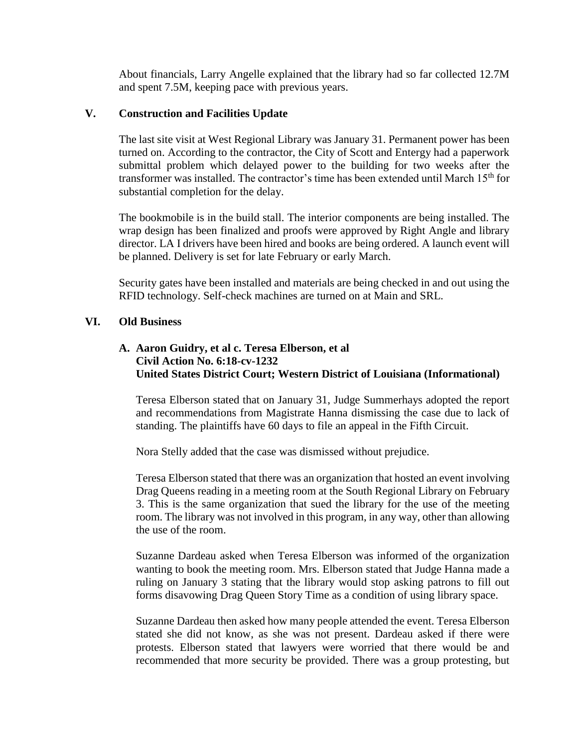About financials, Larry Angelle explained that the library had so far collected 12.7M and spent 7.5M, keeping pace with previous years.

## **V. Construction and Facilities Update**

The last site visit at West Regional Library was January 31. Permanent power has been turned on. According to the contractor, the City of Scott and Entergy had a paperwork submittal problem which delayed power to the building for two weeks after the transformer was installed. The contractor's time has been extended until March 15<sup>th</sup> for substantial completion for the delay.

The bookmobile is in the build stall. The interior components are being installed. The wrap design has been finalized and proofs were approved by Right Angle and library director. LA I drivers have been hired and books are being ordered. A launch event will be planned. Delivery is set for late February or early March.

Security gates have been installed and materials are being checked in and out using the RFID technology. Self-check machines are turned on at Main and SRL.

## **VI. Old Business**

# **A. Aaron Guidry, et al c. Teresa Elberson, et al Civil Action No. 6:18-cv-1232 United States District Court; Western District of Louisiana (Informational)**

Teresa Elberson stated that on January 31, Judge Summerhays adopted the report and recommendations from Magistrate Hanna dismissing the case due to lack of standing. The plaintiffs have 60 days to file an appeal in the Fifth Circuit.

Nora Stelly added that the case was dismissed without prejudice.

Teresa Elberson stated that there was an organization that hosted an event involving Drag Queens reading in a meeting room at the South Regional Library on February 3. This is the same organization that sued the library for the use of the meeting room. The library was not involved in this program, in any way, other than allowing the use of the room.

Suzanne Dardeau asked when Teresa Elberson was informed of the organization wanting to book the meeting room. Mrs. Elberson stated that Judge Hanna made a ruling on January 3 stating that the library would stop asking patrons to fill out forms disavowing Drag Queen Story Time as a condition of using library space.

Suzanne Dardeau then asked how many people attended the event. Teresa Elberson stated she did not know, as she was not present. Dardeau asked if there were protests. Elberson stated that lawyers were worried that there would be and recommended that more security be provided. There was a group protesting, but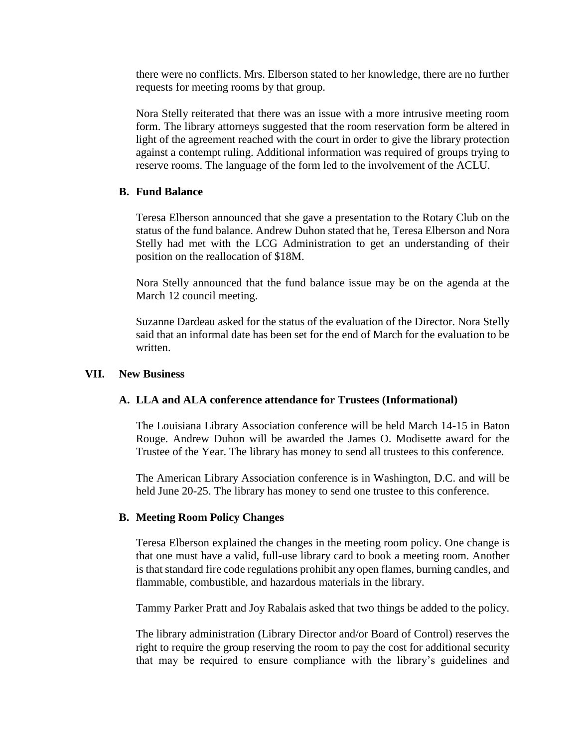there were no conflicts. Mrs. Elberson stated to her knowledge, there are no further requests for meeting rooms by that group.

Nora Stelly reiterated that there was an issue with a more intrusive meeting room form. The library attorneys suggested that the room reservation form be altered in light of the agreement reached with the court in order to give the library protection against a contempt ruling. Additional information was required of groups trying to reserve rooms. The language of the form led to the involvement of the ACLU.

## **B. Fund Balance**

Teresa Elberson announced that she gave a presentation to the Rotary Club on the status of the fund balance. Andrew Duhon stated that he, Teresa Elberson and Nora Stelly had met with the LCG Administration to get an understanding of their position on the reallocation of \$18M.

Nora Stelly announced that the fund balance issue may be on the agenda at the March 12 council meeting.

Suzanne Dardeau asked for the status of the evaluation of the Director. Nora Stelly said that an informal date has been set for the end of March for the evaluation to be written.

#### **VII. New Business**

## **A. LLA and ALA conference attendance for Trustees (Informational)**

The Louisiana Library Association conference will be held March 14-15 in Baton Rouge. Andrew Duhon will be awarded the James O. Modisette award for the Trustee of the Year. The library has money to send all trustees to this conference.

The American Library Association conference is in Washington, D.C. and will be held June 20-25. The library has money to send one trustee to this conference.

## **B. Meeting Room Policy Changes**

Teresa Elberson explained the changes in the meeting room policy. One change is that one must have a valid, full-use library card to book a meeting room. Another is that standard fire code regulations prohibit any open flames, burning candles, and flammable, combustible, and hazardous materials in the library.

Tammy Parker Pratt and Joy Rabalais asked that two things be added to the policy.

The library administration (Library Director and/or Board of Control) reserves the right to require the group reserving the room to pay the cost for additional security that may be required to ensure compliance with the library's guidelines and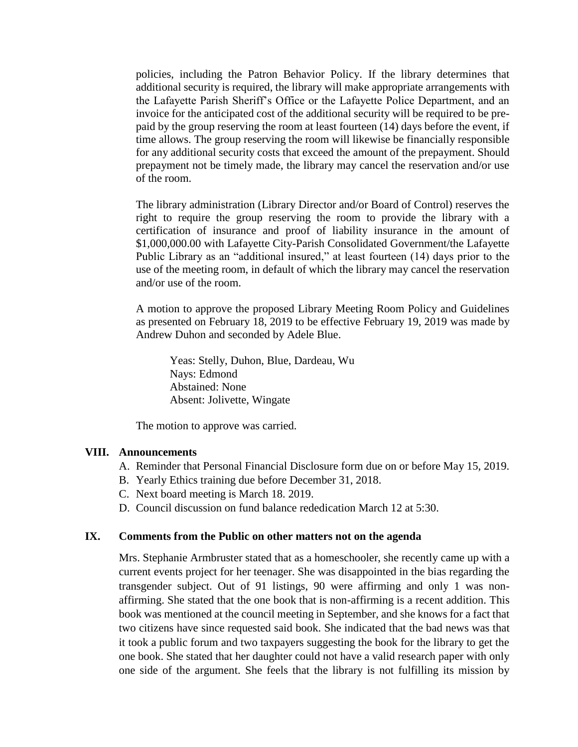policies, including the Patron Behavior Policy. If the library determines that additional security is required, the library will make appropriate arrangements with the Lafayette Parish Sheriff's Office or the Lafayette Police Department, and an invoice for the anticipated cost of the additional security will be required to be prepaid by the group reserving the room at least fourteen (14) days before the event, if time allows. The group reserving the room will likewise be financially responsible for any additional security costs that exceed the amount of the prepayment. Should prepayment not be timely made, the library may cancel the reservation and/or use of the room.

The library administration (Library Director and/or Board of Control) reserves the right to require the group reserving the room to provide the library with a certification of insurance and proof of liability insurance in the amount of \$1,000,000.00 with Lafayette City-Parish Consolidated Government/the Lafayette Public Library as an "additional insured," at least fourteen (14) days prior to the use of the meeting room, in default of which the library may cancel the reservation and/or use of the room.

A motion to approve the proposed Library Meeting Room Policy and Guidelines as presented on February 18, 2019 to be effective February 19, 2019 was made by Andrew Duhon and seconded by Adele Blue.

Yeas: Stelly, Duhon, Blue, Dardeau, Wu Nays: Edmond Abstained: None Absent: Jolivette, Wingate

The motion to approve was carried.

#### **VIII. Announcements**

- A. Reminder that Personal Financial Disclosure form due on or before May 15, 2019.
- B. Yearly Ethics training due before December 31, 2018.
- C. Next board meeting is March 18. 2019.
- D. Council discussion on fund balance rededication March 12 at 5:30.

### **IX. Comments from the Public on other matters not on the agenda**

Mrs. Stephanie Armbruster stated that as a homeschooler, she recently came up with a current events project for her teenager. She was disappointed in the bias regarding the transgender subject. Out of 91 listings, 90 were affirming and only 1 was nonaffirming. She stated that the one book that is non-affirming is a recent addition. This book was mentioned at the council meeting in September, and she knows for a fact that two citizens have since requested said book. She indicated that the bad news was that it took a public forum and two taxpayers suggesting the book for the library to get the one book. She stated that her daughter could not have a valid research paper with only one side of the argument. She feels that the library is not fulfilling its mission by